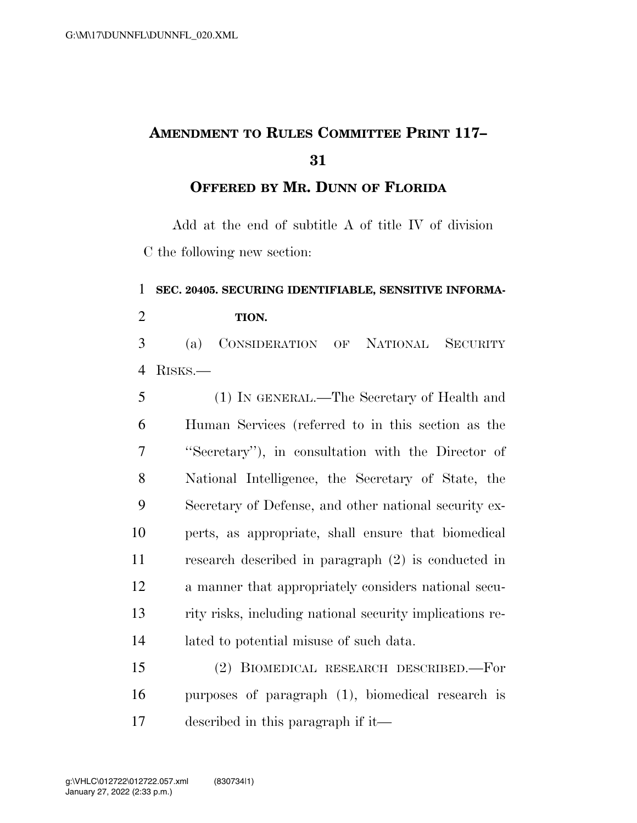## **AMENDMENT TO RULES COMMITTEE PRINT 117–**

**OFFERED BY MR. DUNN OF FLORIDA**

Add at the end of subtitle A of title IV of division C the following new section:

## **SEC. 20405. SECURING IDENTIFIABLE, SENSITIVE INFORMA-TION.**

 (a) CONSIDERATION OF NATIONAL SECURITY RISKS.—

 (1) IN GENERAL.—The Secretary of Health and Human Services (referred to in this section as the ''Secretary''), in consultation with the Director of National Intelligence, the Secretary of State, the Secretary of Defense, and other national security ex- perts, as appropriate, shall ensure that biomedical research described in paragraph (2) is conducted in a manner that appropriately considers national secu- rity risks, including national security implications re-lated to potential misuse of such data.

 (2) BIOMEDICAL RESEARCH DESCRIBED.—For purposes of paragraph (1), biomedical research is described in this paragraph if it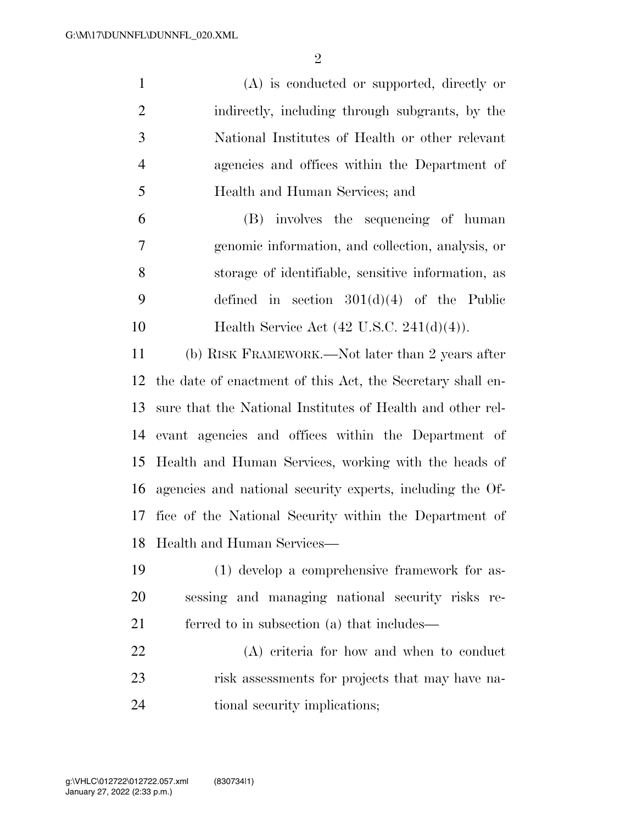(A) is conducted or supported, directly or indirectly, including through subgrants, by the National Institutes of Health or other relevant agencies and offices within the Department of Health and Human Services; and

 (B) involves the sequencing of human genomic information, and collection, analysis, or storage of identifiable, sensitive information, as defined in section 301(d)(4) of the Public **Health Service Act** (42 U.S.C. 241(d)(4)).

 (b) RISK FRAMEWORK.—Not later than 2 years after the date of enactment of this Act, the Secretary shall en- sure that the National Institutes of Health and other rel- evant agencies and offices within the Department of Health and Human Services, working with the heads of agencies and national security experts, including the Of- fice of the National Security within the Department of Health and Human Services—

 (1) develop a comprehensive framework for as- sessing and managing national security risks re-ferred to in subsection (a) that includes—

 (A) criteria for how and when to conduct risk assessments for projects that may have na-tional security implications;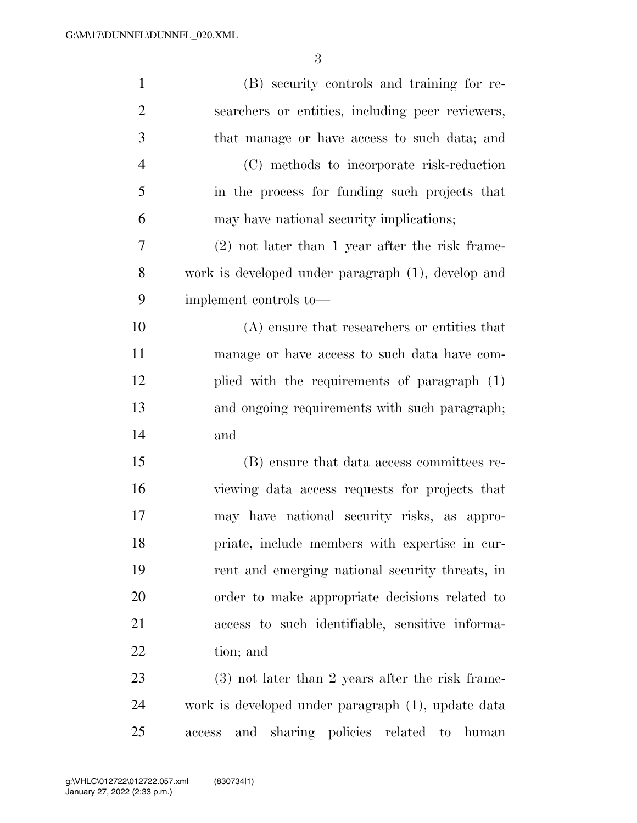| $\mathbf{1}$   | (B) security controls and training for re-               |
|----------------|----------------------------------------------------------|
| $\overline{2}$ | searchers or entities, including peer reviewers,         |
| $\mathfrak{Z}$ | that manage or have access to such data; and             |
| $\overline{4}$ | (C) methods to incorporate risk-reduction                |
| 5              | in the process for funding such projects that            |
| 6              | may have national security implications;                 |
| $\overline{7}$ | $(2)$ not later than 1 year after the risk frame-        |
| 8              | work is developed under paragraph (1), develop and       |
| 9              | implement controls to—                                   |
| 10             | (A) ensure that researchers or entities that             |
| 11             | manage or have access to such data have com-             |
| 12             | plied with the requirements of paragraph (1)             |
| 13             | and ongoing requirements with such paragraph;            |
| 14             | and                                                      |
| 15             | (B) ensure that data access committees re-               |
| 16             | viewing data access requests for projects that           |
| 17             | may have national security risks, as appro-              |
| 18             | priate, include members with expertise in cur-           |
| 19             | rent and emerging national security threats, in          |
| 20             | order to make appropriate decisions related to           |
| 21             | access to such identifiable, sensitive informa-          |
| 22             | tion; and                                                |
| 23             | $(3)$ not later than 2 years after the risk frame-       |
| 24             | work is developed under paragraph (1), update data       |
| 25             | sharing policies related<br>and<br>to<br>human<br>access |